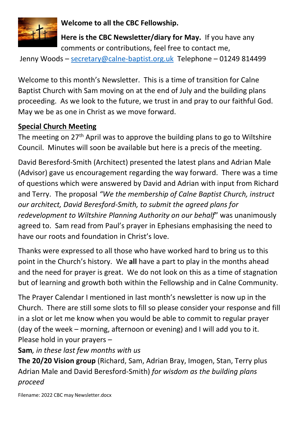

**Welcome to all the CBC Fellowship.**

**Here is the CBC Newsletter/diary for May.** If you have any comments or contributions, feel free to contact me,

Jenny Woods - [secretary@calne-baptist.org.uk](mailto:secretary@calne-baptist.org.uk) Telephone - 01249 814499

Welcome to this month's Newsletter. This is a time of transition for Calne Baptist Church with Sam moving on at the end of July and the building plans proceeding. As we look to the future, we trust in and pray to our faithful God. May we be as one in Christ as we move forward.

## **Special Church Meeting**

The meeting on 27<sup>th</sup> April was to approve the building plans to go to Wiltshire Council. Minutes will soon be available but here is a precis of the meeting.

David Beresford-Smith (Architect) presented the latest plans and Adrian Male (Advisor) gave us encouragement regarding the way forward. There was a time of questions which were answered by David and Adrian with input from Richard and Terry. The proposal *"We the membership of Calne Baptist Church, instruct our architect, David Beresford-Smith, to submit the agreed plans for redevelopment to Wiltshire Planning Authority on our behalf*" was unanimously agreed to. Sam read from Paul's prayer in Ephesians emphasising the need to have our roots and foundation in Christ's love.

Thanks were expressed to all those who have worked hard to bring us to this point in the Church's history. We **all** have a part to play in the months ahead and the need for prayer is great. We do not look on this as a time of stagnation but of learning and growth both within the Fellowship and in Calne Community.

The Prayer Calendar I mentioned in last month's newsletter is now up in the Church. There are still some slots to fill so please consider your response and fill in a slot or let me know when you would be able to commit to regular prayer (day of the week – morning, afternoon or evening) and I will add you to it. Please hold in your prayers –

# **Sam***, in these last few months with us*

**The 20/20 Vision group** (Richard, Sam, Adrian Bray, Imogen, Stan, Terry plus Adrian Male and David Beresford-Smith) *for wisdom as the building plans proceed*